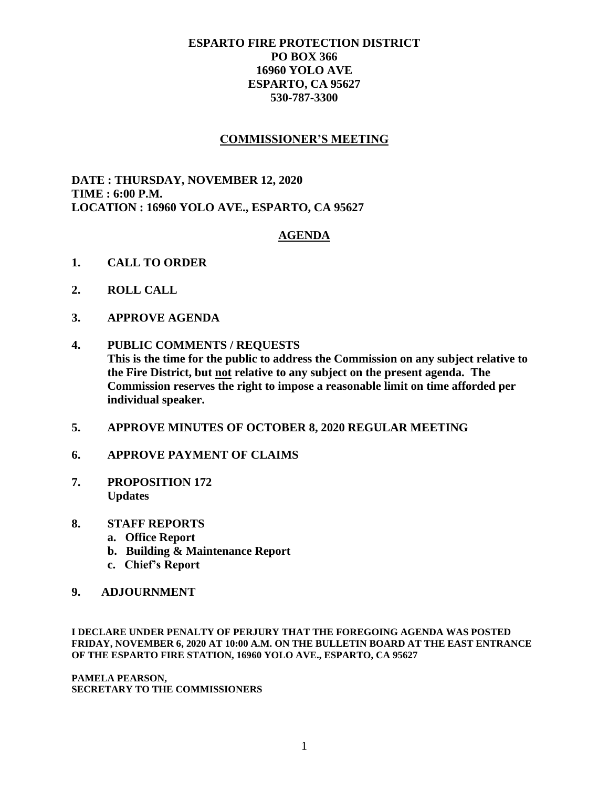## **ESPARTO FIRE PROTECTION DISTRICT PO BOX 366 16960 YOLO AVE ESPARTO, CA 95627 530-787-3300**

## **COMMISSIONER'S MEETING**

**DATE : THURSDAY, NOVEMBER 12, 2020 TIME : 6:00 P.M. LOCATION : 16960 YOLO AVE., ESPARTO, CA 95627**

## **AGENDA**

- **1. CALL TO ORDER**
- **2. ROLL CALL**
- **3. APPROVE AGENDA**
- **4. PUBLIC COMMENTS / REQUESTS This is the time for the public to address the Commission on any subject relative to the Fire District, but not relative to any subject on the present agenda. The Commission reserves the right to impose a reasonable limit on time afforded per individual speaker.**
- **5. APPROVE MINUTES OF OCTOBER 8, 2020 REGULAR MEETING**
- **6. APPROVE PAYMENT OF CLAIMS**
- **7. PROPOSITION 172 Updates**
- **8. STAFF REPORTS**
	- **a. Office Report**
	- **b. Building & Maintenance Report**
	- **c. Chief's Report**
- **9. ADJOURNMENT**

**I DECLARE UNDER PENALTY OF PERJURY THAT THE FOREGOING AGENDA WAS POSTED FRIDAY, NOVEMBER 6, 2020 AT 10:00 A.M. ON THE BULLETIN BOARD AT THE EAST ENTRANCE OF THE ESPARTO FIRE STATION, 16960 YOLO AVE., ESPARTO, CA 95627**

**PAMELA PEARSON, SECRETARY TO THE COMMISSIONERS**